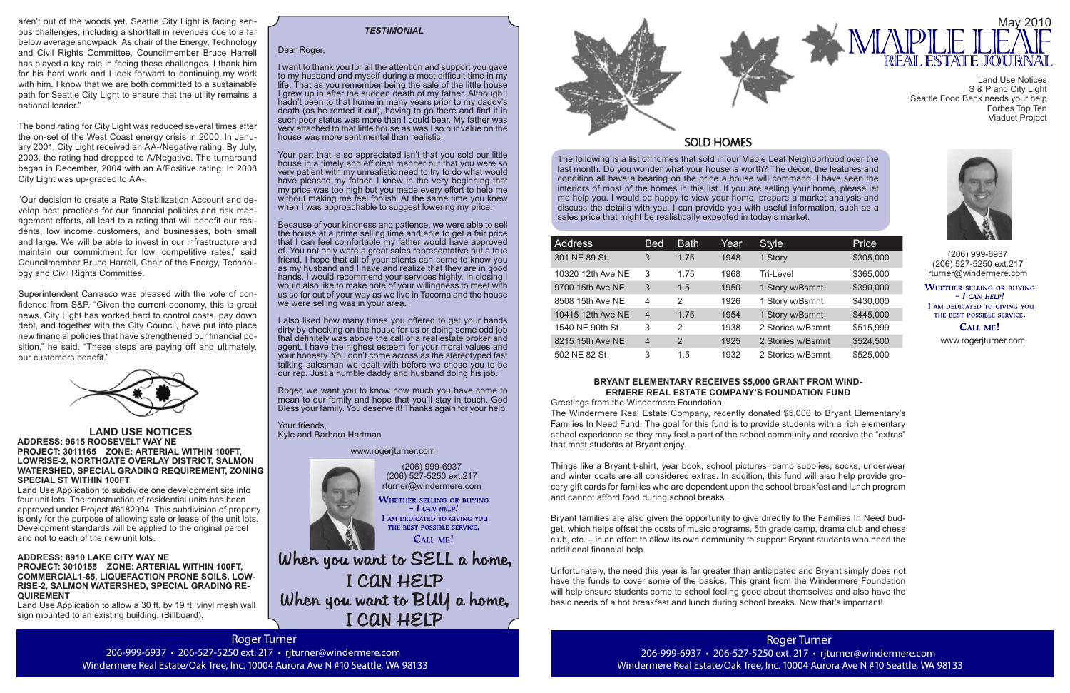Roger Turner 206-999-6937 • 206-527-5250 ext. 217 • rjturner@windermere.com Windermere Real Estate/Oak Tree, Inc. 10004 Aurora Ave N #10 Seattle, WA 98133

The following is a list of homes that sold in our Maple Leaf Neighborhood over the last month. Do you wonder what your house is worth? The décor, the features and condition all have a bearing on the price a house will command. I have seen the interiors of most of the homes in this list. If you are selling your home, please let me help you. I would be happy to view your home, prepare a market analysis and discuss the details with you. I can provide you with useful information, such as a sales price that might be realistically expected in today's market.

(206) 999-6937

When you want to SELL a home, I CAN HELP When you want to BUY a home, I CAN HELP



 $-$  I CAN HELP! I AM DEDICATED TO GIVING YOU THE BEST POSSIBLE SERVICE. CALL ME!

| <b>Address</b>    | <b>Bed</b>     | <b>Bath</b>    | Year | <b>Style</b>      | Price     |
|-------------------|----------------|----------------|------|-------------------|-----------|
| 301 NE 89 St      | 3              | 1.75           | 1948 | 1 Story           | \$305,000 |
| 10320 12th Ave NE | 3              | 1.75           | 1968 | Tri-Level         | \$365,000 |
| 9700 15th Ave NE  | 3              | 1.5            | 1950 | 1 Story w/Bsmnt   | \$390,000 |
| 8508 15th Ave NE  | $\overline{4}$ | $\mathcal{P}$  | 1926 | 1 Story w/Bsmnt   | \$430,000 |
| 10415 12th Ave NE | $\overline{4}$ | 1.75           | 1954 | 1 Story w/Bsmnt   | \$445,000 |
| 1540 NE 90th St   | 3              | 2              | 1938 | 2 Stories w/Bsmnt | \$515,999 |
| 8215 15th Ave NE  | $\overline{4}$ | $\overline{2}$ | 1925 | 2 Stories w/Bsmnt | \$524,500 |
| 502 NE 82 St      | 3              | 1.5            | 1932 | 2 Stories w/Bsmnt | \$525,000 |

(206) 999-6937 (206) 527-5250 ext.217 rturner@windermere.com

WHETHER SELLING OR BUYING  $-I$  CAN HELP! I AM DEDICATED TO GIVING YOU THE BEST POSSIBLE SERVICE. **CALL ME!** 

#### Dear Roger,

I want to thank you for all the attention and support you gave to my husband and myself during a most difficult time in my life. That as you remember being the sale of the little house I grew up in after the sudden death of my father. Although I hadn't been to that home in many years prior to my daddy's death (as he rented it out), having to go there and find it in such poor status was more than I could bear. My father was very attached to that little house as was I so our value on the house was more sentimental than realistic.

Your part that is so appreciated isn't that you sold our little house in a timely and efficient manner but that you were so very patient with my unrealistic need to try to do what would have pleased my father. I knew in the very beginning that my price was too high but you made every effort to help me without making me feel foolish. At the same time you knew when I was approachable to suggest lowering my price.

Because of your kindness and patience, we were able to sell the house at a prime selling time and able to get a fair price that I can feel comfortable my father would have approved of. You not only were a great sales representative but a true friend. I hope that all of your clients can come to know you as my husband and I have and realize that they are in good hands. I would recommend your services highly. In closing I would also like to make note of your willingness to meet with us so far out of your way as we live in Tacoma and the house we were selling was in your area.

I also liked how many times you offered to get your hands dirty by checking on the house for us or doing some odd job that definitely was above the call of a real estate broker and agent. I have the highest esteem for your moral values and your honesty. You don't come across as the stereotyped fast talking salesman we dealt with before we chose you to be our rep. Just a humble daddy and husband doing his job.

Roger, we want you to know how much you have come to mean to our family and hope that you'll stay in touch. God Bless your family. You deserve it! Thanks again for your help.

Your friends, Kyle and Barbara Hartman

#### *TESTIMONIAL*

www.rogerjturner.com

#### www.rogerjturner.com



206-999-6937 • 206-527-5250 ext. 217 • rjturner@windermere.com Windermere Real Estate/Oak Tree, Inc. 10004 Aurora Ave N #10 Seattle, WA 98133

### **BRYANT ELEMENTARY RECEIVES \$5,000 GRANT FROM WIND-ERMERE REAL ESTATE COMPANY'S FOUNDATION FUND**

Greetings from the Windermere Foundation,

The Windermere Real Estate Company, recently donated \$5,000 to Bryant Elementary's Families In Need Fund. The goal for this fund is to provide students with a rich elementary school experience so they may feel a part of the school community and receive the "extras" that most students at Bryant enjoy.



## **SOLD HOMES**

Things like a Bryant t-shirt, year book, school pictures, camp supplies, socks, underwear and winter coats are all considered extras. In addition, this fund will also help provide grocery gift cards for families who are dependent upon the school breakfast and lunch program and cannot afford food during school breaks.

Bryant families are also given the opportunity to give directly to the Families In Need budget, which helps offset the costs of music programs, 5th grade camp, drama club and chess club, etc. – in an effort to allow its own community to support Bryant students who need the additional financial help.

Unfortunately, the need this year is far greater than anticipated and Bryant simply does not have the funds to cover some of the basics. This grant from the Windermere Foundation will help ensure students come to school feeling good about themselves and also have the basic needs of a hot breakfast and lunch during school breaks. Now that's important!

#### **LAND USE NOTICES ADDRESS: 9615 ROOSEVELT WAY NE PROJECT: 3011165 ZONE: ARTERIAL WITHIN 100FT, LOWRISE-2, NORTHGATE OVERLAY DISTRICT, SALMON WATERSHED, SPECIAL GRADING REQUIREMENT, ZONING SPECIAL ST WITHIN 100FT**

Land Use Application to subdivide one development site into four unit lots. The construction of residential units has been approved under Project #6182994. This subdivision of property is only for the purpose of allowing sale or lease of the unit lots. Development standards will be applied to the original parcel and not to each of the new unit lots.

#### **ADDRESS: 8910 LAKE CITY WAY NE PROJECT: 3010155 ZONE: ARTERIAL WITHIN 100FT, COMMERCIAL1-65, LIQUEFACTION PRONE SOILS, LOW-RISE-2, SALMON WATERSHED, SPECIAL GRADING RE-QUIREMENT**

Land Use Application to allow a 30 ft. by 19 ft. vinyl mesh wall sign mounted to an existing building. (Billboard).

aren't out of the woods yet. Seattle City Light is facing serious challenges, including a shortfall in revenues due to a far below average snowpack. As chair of the Energy, Technology and Civil Rights Committee, Councilmember Bruce Harrell has played a key role in facing these challenges. I thank him for his hard work and I look forward to continuing my work with him. I know that we are both committed to a sustainable path for Seattle City Light to ensure that the utility remains a national leader."

The bond rating for City Light was reduced several times after the on-set of the West Coast energy crisis in 2000. In January 2001, City Light received an AA-/Negative rating. By July, 2003, the rating had dropped to A/Negative. The turnaround began in December, 2004 with an A/Positive rating. In 2008 City Light was up-graded to AA-.

"Our decision to create a Rate Stabilization Account and develop best practices for our financial policies and risk management efforts, all lead to a rating that will benefit our residents, low income customers, and businesses, both small and large. We will be able to invest in our infrastructure and maintain our commitment for low, competitive rates," said Councilmember Bruce Harrell, Chair of the Energy, Technology and Civil Rights Committee.

Superintendent Carrasco was pleased with the vote of confidence from S&P. "Given the current economy, this is great news. City Light has worked hard to control costs, pay down debt, and together with the City Council, have put into place new financial policies that have strengthened our financial position," he said. "These steps are paying off and ultimately, our customers benefit."